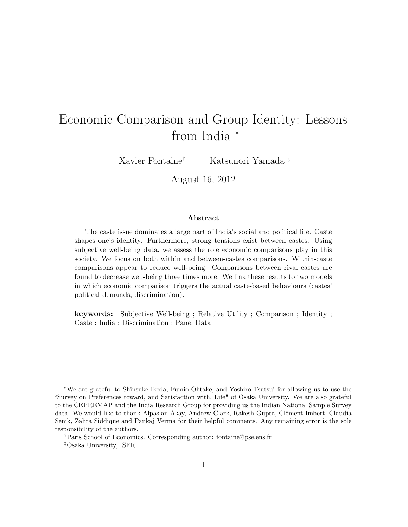# Economic Comparison and Group Identity: Lessons from India  $*$

Xavier Fontaine† Katsunori Yamada ‡

August 16, 2012

#### Abstract

The caste issue dominates a large part of India's social and political life. Caste shapes one's identity. Furthermore, strong tensions exist between castes. Using subjective well-being data, we assess the role economic comparisons play in this society. We focus on both within and between-castes comparisons. Within-caste comparisons appear to reduce well-being. Comparisons between rival castes are found to decrease well-being three times more. We link these results to two models in which economic comparison triggers the actual caste-based behaviours (castes' political demands, discrimination).

keywords: Subjective Well-being ; Relative Utility ; Comparison ; Identity ; Caste ; India ; Discrimination ; Panel Data

<sup>∗</sup>We are grateful to Shinsuke Ikeda, Fumio Ohtake, and Yoshiro Tsutsui for allowing us to use the "Survey on Preferences toward, and Satisfaction with, Life" of Osaka University. We are also grateful to the CEPREMAP and the India Research Group for providing us the Indian National Sample Survey data. We would like to thank Alpaslan Akay, Andrew Clark, Rakesh Gupta, Clément Imbert, Claudia Senik, Zahra Siddique and Pankaj Verma for their helpful comments. Any remaining error is the sole responsibility of the authors.

<sup>†</sup>Paris School of Economics. Corresponding author: fontaine@pse.ens.fr ‡Osaka University, ISER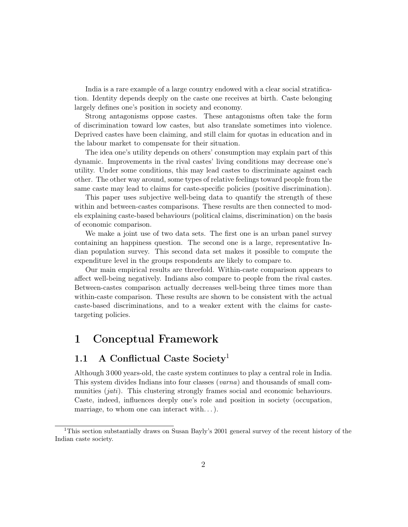India is a rare example of a large country endowed with a clear social stratification. Identity depends deeply on the caste one receives at birth. Caste belonging largely defines one's position in society and economy.

Strong antagonisms oppose castes. These antagonisms often take the form of discrimination toward low castes, but also translate sometimes into violence. Deprived castes have been claiming, and still claim for quotas in education and in the labour market to compensate for their situation.

The idea one's utility depends on others' consumption may explain part of this dynamic. Improvements in the rival castes' living conditions may decrease one's utility. Under some conditions, this may lead castes to discriminate against each other. The other way around, some types of relative feelings toward people from the same caste may lead to claims for caste-specific policies (positive discrimination).

This paper uses subjective well-being data to quantify the strength of these within and between-castes comparisons. These results are then connected to models explaining caste-based behaviours (political claims, discrimination) on the basis of economic comparison.

We make a joint use of two data sets. The first one is an urban panel survey containing an happiness question. The second one is a large, representative Indian population survey. This second data set makes it possible to compute the expenditure level in the groups respondents are likely to compare to.

Our main empirical results are threefold. Within-caste comparison appears to affect well-being negatively. Indians also compare to people from the rival castes. Between-castes comparison actually decreases well-being three times more than within-caste comparison. These results are shown to be consistent with the actual caste-based discriminations, and to a weaker extent with the claims for castetargeting policies.

## 1 Conceptual Framework

## 1.1 A Conflictual Caste Society<sup>1</sup>

Although 3 000 years-old, the caste system continues to play a central role in India. This system divides Indians into four classes (varna) and thousands of small communities (*jati*). This clustering strongly frames social and economic behaviours. Caste, indeed, influences deeply one's role and position in society (occupation, marriage, to whom one can interact with. . . ).

<sup>&</sup>lt;sup>1</sup>This section substantially draws on Susan Bayly's 2001 general survey of the recent history of the Indian caste society.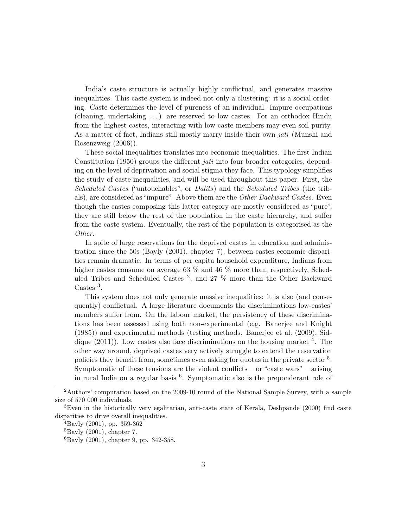India's caste structure is actually highly conflictual, and generates massive inequalities. This caste system is indeed not only a clustering: it is a social ordering. Caste determines the level of pureness of an individual. Impure occupations (cleaning, undertaking . . . ) are reserved to low castes. For an orthodox Hindu from the highest castes, interacting with low-caste members may even soil purity. As a matter of fact, Indians still mostly marry inside their own *jati* (Munshi and Rosenzweig (2006)).

These social inequalities translates into economic inequalities. The first Indian Constitution (1950) groups the different *jati* into four broader categories, depending on the level of deprivation and social stigma they face. This typology simplifies the study of caste inequalities, and will be used throughout this paper. First, the Scheduled Castes ("untouchables", or Dalits) and the Scheduled Tribes (the tribals), are considered as "impure". Above them are the *Other Backward Castes*. Even though the castes composing this latter category are mostly considered as "pure", they are still below the rest of the population in the caste hierarchy, and suffer from the caste system. Eventually, the rest of the population is categorised as the Other.

In spite of large reservations for the deprived castes in education and administration since the 50s (Bayly (2001), chapter 7), between-castes economic disparities remain dramatic. In terms of per capita household expenditure, Indians from higher castes consume on average 63  $\%$  and 46  $\%$  more than, respectively, Scheduled Tribes and Scheduled Castes<sup>2</sup>, and 27 % more than the Other Backward Castes<sup>3</sup>.

This system does not only generate massive inequalities: it is also (and consequently) conflictual. A large literature documents the discriminations low-castes' members suffer from. On the labour market, the persistency of these discriminations has been assessed using both non-experimental (e.g. Banerjee and Knight (1985)) and experimental methods (testing methods: Banerjee et al. (2009), Siddique  $(2011)$ ). Low castes also face discriminations on the housing market <sup>4</sup>. The other way around, deprived castes very actively struggle to extend the reservation policies they benefit from, sometimes even asking for quotas in the private sector<sup>5</sup>. Symptomatic of these tensions are the violent conflicts – or "caste wars" – arising in rural India on a regular basis <sup>6</sup> . Symptomatic also is the preponderant role of

<sup>2</sup>Authors' computation based on the 2009-10 round of the National Sample Survey, with a sample size of 570 000 individuals.

<sup>3</sup>Even in the historically very egalitarian, anti-caste state of Kerala, Deshpande (2000) find caste disparities to drive overall inequalities.

 ${}^{4}$ Bayly (2001), pp. 359-362

 ${}^{5}$ Bayly (2001), chapter 7.

<sup>6</sup>Bayly (2001), chapter 9, pp. 342-358.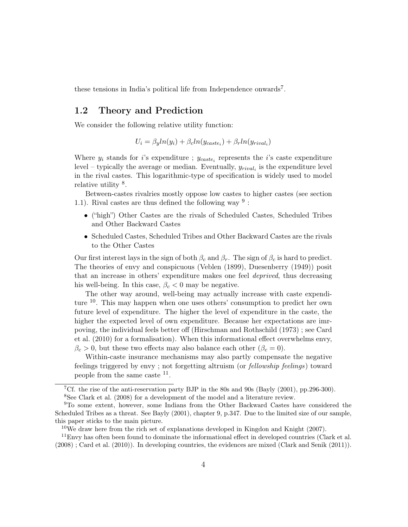these tensions in India's political life from Independence onwards<sup>7</sup>.

### 1.2 Theory and Prediction

We consider the following relative utility function:

$$
U_i = \beta_y ln(y_i) + \beta_c ln(y_{\text{case}_i}) + \beta_r ln(y_{\text{rival}_i})
$$

Where  $y_i$  stands for i's expenditure ;  $y_{\text{case}_i}$  represents the i's caste expenditure level – typically the average or median. Eventually,  $y_{rival_i}$  is the expenditure level in the rival castes. This logarithmic-type of specification is widely used to model relative utility  $8$ .

Between-castes rivalries mostly oppose low castes to higher castes (see section 1.1). Rival castes are thus defined the following way  $9$ :

- ("high") Other Castes are the rivals of Scheduled Castes, Scheduled Tribes and Other Backward Castes
- Scheduled Castes, Scheduled Tribes and Other Backward Castes are the rivals to the Other Castes

Our first interest lays in the sign of both  $\beta_c$  and  $\beta_r$ . The sign of  $\beta_c$  is hard to predict. The theories of envy and conspicuous (Veblen (1899), Duesenberry (1949)) posit that an increase in others' expenditure makes one feel deprived, thus decreasing his well-being. In this case,  $\beta_c < 0$  may be negative.

The other way around, well-being may actually increase with caste expenditure <sup>10</sup>. This may happen when one uses others' consumption to predict her own future level of expenditure. The higher the level of expenditure in the caste, the higher the expected level of own expenditure. Because her expectations are imrpoving, the individual feels better off (Hirschman and Rothschild (1973) ; see Card et al. (2010) for a formalisation). When this informational effect overwhelms envy,  $\beta_c > 0$ , but these two effects may also balance each other  $(\beta_c = 0)$ .

Within-caste insurance mechanisms may also partly compensate the negative feelings triggered by envy ; not forgetting altruism (or fellowship feelings) toward people from the same caste <sup>11</sup>.

<sup>&</sup>lt;sup>7</sup>Cf. the rise of the anti-reservation party BJP in the 80s and 90s (Bayly  $(2001)$ , pp.296-300). <sup>8</sup>See Clark et al. (2008) for a development of the model and a literature review.

<sup>9</sup>To some extent, however, some Indians from the Other Backward Castes have considered the Scheduled Tribes as a threat. See Bayly (2001), chapter 9, p.347. Due to the limited size of our sample, this paper sticks to the main picture.

<sup>10</sup>We draw here from the rich set of explanations developed in Kingdon and Knight (2007).

 $11$ Envy has often been found to dominate the informational effect in developed countries (Clark et al. (2008) ; Card et al. (2010)). In developing countries, the evidences are mixed (Clark and Senik (2011)).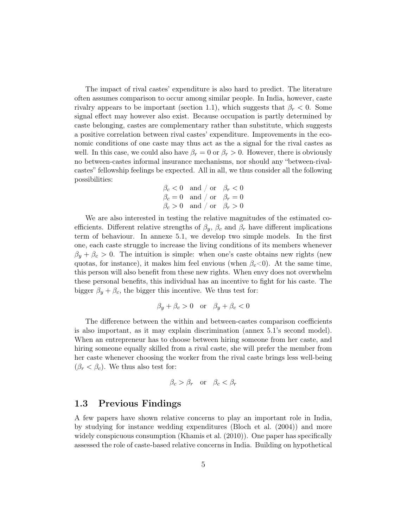The impact of rival castes' expenditure is also hard to predict. The literature often assumes comparison to occur among similar people. In India, however, caste rivalry appears to be important (section 1.1), which suggests that  $\beta_r < 0$ . Some signal effect may however also exist. Because occupation is partly determined by caste belonging, castes are complementary rather than substitute, which suggests a positive correlation between rival castes' expenditure. Improvements in the economic conditions of one caste may thus act as the a signal for the rival castes as well. In this case, we could also have  $\beta_r = 0$  or  $\beta_r > 0$ . However, there is obviously no between-castes informal insurance mechanisms, nor should any "between-rivalcastes" fellowship feelings be expected. All in all, we thus consider all the following possibilities:

$$
\begin{array}{ll}\n\beta_c < 0 \quad \text{and } / \text{ or } \quad \beta_r < 0 \\
\beta_c = 0 \quad \text{and } / \text{ or } \quad \beta_r = 0 \\
\beta_c > 0 \quad \text{and } / \text{ or } \quad \beta_r > 0\n\end{array}
$$

We are also interested in testing the relative magnitudes of the estimated coefficients. Different relative strengths of  $\beta_y$ ,  $\beta_c$  and  $\beta_r$  have different implications term of behaviour. In annexe 5.1, we develop two simple models. In the first one, each caste struggle to increase the living conditions of its members whenever  $\beta_y + \beta_c > 0$ . The intuition is simple: when one's caste obtains new rights (new quotas, for instance), it makes him feel envious (when  $\beta_c$ <0). At the same time, this person will also benefit from these new rights. When envy does not overwhelm these personal benefits, this individual has an incentive to fight for his caste. The bigger  $\beta_y + \beta_c$ , the bigger this incentive. We thus test for:

$$
\beta_y + \beta_c > 0 \quad \text{or} \quad \beta_y + \beta_c < 0
$$

The difference between the within and between-castes comparison coefficients is also important, as it may explain discrimination (annex 5.1's second model). When an entrepreneur has to choose between hiring someone from her caste, and hiring someone equally skilled from a rival caste, she will prefer the member from her caste whenever choosing the worker from the rival caste brings less well-being  $(\beta_r < \beta_c)$ . We thus also test for:

$$
\beta_c > \beta_r
$$
 or  $\beta_c < \beta_r$ 

### 1.3 Previous Findings

A few papers have shown relative concerns to play an important role in India, by studying for instance wedding expenditures (Bloch et al. (2004)) and more widely conspicuous consumption (Khamis et al. (2010)). One paper has specifically assessed the role of caste-based relative concerns in India. Building on hypothetical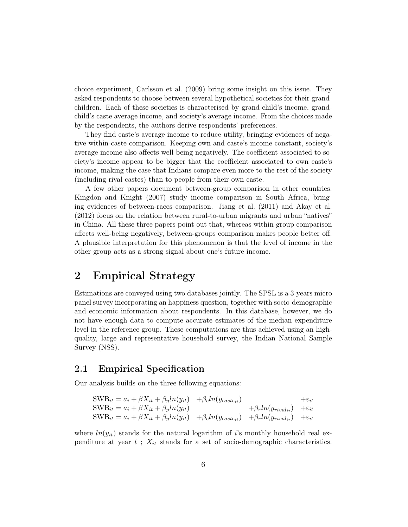choice experiment, Carlsson et al. (2009) bring some insight on this issue. They asked respondents to choose between several hypothetical societies for their grandchildren. Each of these societies is characterised by grand-child's income, grandchild's caste average income, and society's average income. From the choices made by the respondents, the authors derive respondents' preferences.

They find caste's average income to reduce utility, bringing evidences of negative within-caste comparison. Keeping own and caste's income constant, society's average income also affects well-being negatively. The coefficient associated to society's income appear to be bigger that the coefficient associated to own caste's income, making the case that Indians compare even more to the rest of the society (including rival castes) than to people from their own caste.

A few other papers document between-group comparison in other countries. Kingdon and Knight (2007) study income comparison in South Africa, bringing evidences of between-races comparison. Jiang et al. (2011) and Akay et al. (2012) focus on the relation between rural-to-urban migrants and urban "natives" in China. All these three papers point out that, whereas within-group comparison affects well-being negatively, between-groups comparison makes people better off. A plausible interpretation for this phenomenon is that the level of income in the other group acts as a strong signal about one's future income.

## 2 Empirical Strategy

Estimations are conveyed using two databases jointly. The SPSL is a 3-years micro panel survey incorporating an happiness question, together with socio-demographic and economic information about respondents. In this database, however, we do not have enough data to compute accurate estimates of the median expenditure level in the reference group. These computations are thus achieved using an highquality, large and representative household survey, the Indian National Sample Survey (NSS).

### 2.1 Empirical Specification

Our analysis builds on the three following equations:

$$
\begin{aligned}\n\text{SWB}_{it} &= a_i + \beta X_{it} + \beta_{y} \ln(y_{it}) + \beta_{c} \ln(y_{\text{case}_{it}}) + \varepsilon_{it} \\
\text{SWB}_{it} &= a_i + \beta X_{it} + \beta_{y} \ln(y_{it}) + \beta_{r} \ln(y_{\text{fixed}_{it}}) + \varepsilon_{it} \\
\text{SWB}_{it} &= a_i + \beta X_{it} + \beta_{y} \ln(y_{it}) + \beta_{c} \ln(y_{\text{case}_{it}}) + \beta_{r} \ln(y_{\text{rival}_{it}}) + \varepsilon_{it}\n\end{aligned}
$$

where  $ln(y_{it})$  stands for the natural logarithm of i's monthly household real expenditure at year  $t$ ;  $X_{it}$  stands for a set of socio-demographic characteristics.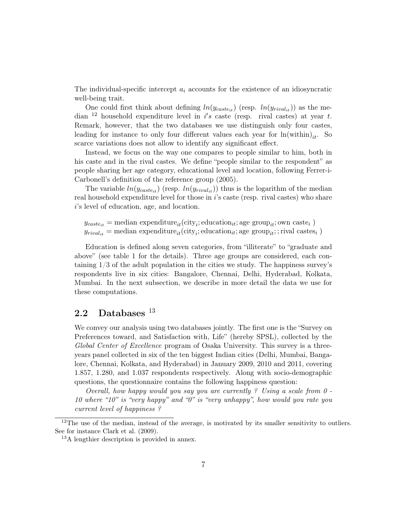The individual-specific intercept  $a_i$  accounts for the existence of an idiosyncratic well-being trait.

One could first think about defining  $ln(y_{\text{case}_{it}})$  (resp.  $ln(y_{\text{rival}_{it}})$ ) as the median <sup>12</sup> household expenditure level in  $i's$  caste (resp. rival castes) at year t. Remark, however, that the two databases we use distinguish only four castes, leading for instance to only four different values each year for  $ln(\text{within})_{it}$ . So scarce variations does not allow to identify any significant effect.

Instead, we focus on the way one compares to people similar to him, both in his caste and in the rival castes. We define "people similar to the respondent" as people sharing her age category, educational level and location, following Ferrer-i-Carbonell's definition of the reference group (2005).

The variable  $ln(y_{\text{case}_{it}})$  (resp.  $ln(y_{\text{rival}_{it}})$ ) thus is the logarithm of the median real household expenditure level for those in i's caste (resp. rival castes) who share i's level of education, age, and location.

 $y_{\text{case}_{it}} = \text{median expenditure}_{it}(\text{city}_i; \text{ education}_{it}; \text{age group}_{it}; \text{own case}_{i})$  $y_{rival_{it}}$  = median expenditure<sub>it</sub>(city<sub>i</sub>; education<sub>it</sub>; age group<sub>it</sub>;; rival castes<sub>i</sub>)

Education is defined along seven categories, from "illiterate" to "graduate and above" (see table 1 for the details). Three age groups are considered, each containing 1/3 of the adult population in the cities we study. The happiness survey's respondents live in six cities: Bangalore, Chennai, Delhi, Hyderabad, Kolkata, Mumbai. In the next subsection, we describe in more detail the data we use for these computations.

## 2.2 Databases<sup>13</sup>

We convey our analysis using two databases jointly. The first one is the "Survey on Preferences toward, and Satisfaction with, Life" (hereby SPSL), collected by the Global Center of Excellence program of Osaka University. This survey is a threeyears panel collected in six of the ten biggest Indian cities (Delhi, Mumbai, Bangalore, Chennai, Kolkata, and Hyderabad) in January 2009, 2010 and 2011, covering 1.857, 1.280, and 1.037 respondents respectively. Along with socio-demographic questions, the questionnaire contains the following happiness question:

Overall, how happy would you say you are currently ? Using a scale from  $0$ . 10 where "10" is "very happy" and "0" is "very unhappy", how would you rate you current level of happiness ?

 $12$ The use of the median, instead of the average, is motivated by its smaller sensitivity to outliers. See for instance Clark et al. (2009).

<sup>13</sup>A lengthier description is provided in annex.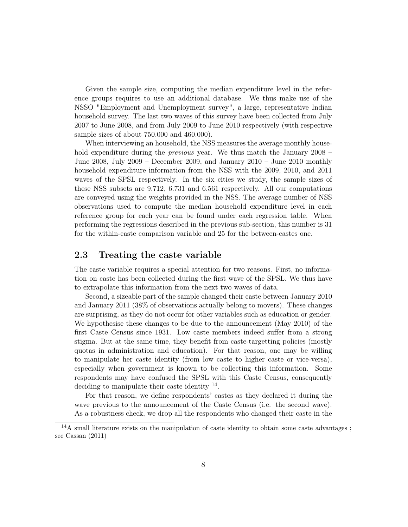Given the sample size, computing the median expenditure level in the reference groups requires to use an additional database. We thus make use of the NSSO "Employment and Unemployment survey", a large, representative Indian household survey. The last two waves of this survey have been collected from July 2007 to June 2008, and from July 2009 to June 2010 respectively (with respective sample sizes of about 750.000 and 460.000).

When interviewing an household, the NSS measures the average monthly household expenditure during the *previous* year. We thus match the January 2008 – June 2008, July 2009 – December 2009, and January 2010 – June 2010 monthly household expenditure information from the NSS with the 2009, 2010, and 2011 waves of the SPSL respectively. In the six cities we study, the sample sizes of these NSS subsets are 9.712, 6.731 and 6.561 respectively. All our computations are conveyed using the weights provided in the NSS. The average number of NSS observations used to compute the median household expenditure level in each reference group for each year can be found under each regression table. When performing the regressions described in the previous sub-section, this number is 31 for the within-caste comparison variable and 25 for the between-castes one.

### 2.3 Treating the caste variable

The caste variable requires a special attention for two reasons. First, no information on caste has been collected during the first wave of the SPSL. We thus have to extrapolate this information from the next two waves of data.

Second, a sizeable part of the sample changed their caste between January 2010 and January 2011 (38% of observations actually belong to movers). These changes are surprising, as they do not occur for other variables such as education or gender. We hypothesise these changes to be due to the announcement (May 2010) of the first Caste Census since 1931. Low caste members indeed suffer from a strong stigma. But at the same time, they benefit from caste-targetting policies (mostly quotas in administration and education). For that reason, one may be willing to manipulate her caste identity (from low caste to higher caste or vice-versa), especially when government is known to be collecting this information. Some respondents may have confused the SPSL with this Caste Census, consequently deciding to manipulate their caste identity  $^{14}$ .

For that reason, we define respondents' castes as they declared it during the wave previous to the announcement of the Caste Census (i.e. the second wave). As a robustness check, we drop all the respondents who changed their caste in the

<sup>&</sup>lt;sup>14</sup>A small literature exists on the manipulation of caste identity to obtain some caste advantages; see Cassan (2011)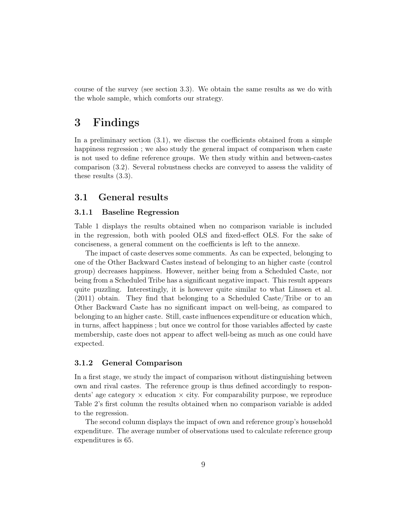course of the survey (see section 3.3). We obtain the same results as we do with the whole sample, which comforts our strategy.

## 3 Findings

In a preliminary section (3.1), we discuss the coefficients obtained from a simple happiness regression ; we also study the general impact of comparison when caste is not used to define reference groups. We then study within and between-castes comparison (3.2). Several robustness checks are conveyed to assess the validity of these results (3.3).

### 3.1 General results

#### 3.1.1 Baseline Regression

Table 1 displays the results obtained when no comparison variable is included in the regression, both with pooled OLS and fixed-effect OLS. For the sake of conciseness, a general comment on the coefficients is left to the annexe.

The impact of caste deserves some comments. As can be expected, belonging to one of the Other Backward Castes instead of belonging to an higher caste (control group) decreases happiness. However, neither being from a Scheduled Caste, nor being from a Scheduled Tribe has a significant negative impact. This result appears quite puzzling. Interestingly, it is however quite similar to what Linssen et al. (2011) obtain. They find that belonging to a Scheduled Caste/Tribe or to an Other Backward Caste has no significant impact on well-being, as compared to belonging to an higher caste. Still, caste influences expenditure or education which, in turns, affect happiness ; but once we control for those variables affected by caste membership, caste does not appear to affect well-being as much as one could have expected.

#### 3.1.2 General Comparison

In a first stage, we study the impact of comparison without distinguishing between own and rival castes. The reference group is thus defined accordingly to respondents' age category  $\times$  education  $\times$  city. For comparability purpose, we reproduce Table 2's first column the results obtained when no comparison variable is added to the regression.

The second column displays the impact of own and reference group's household expenditure. The average number of observations used to calculate reference group expenditures is 65.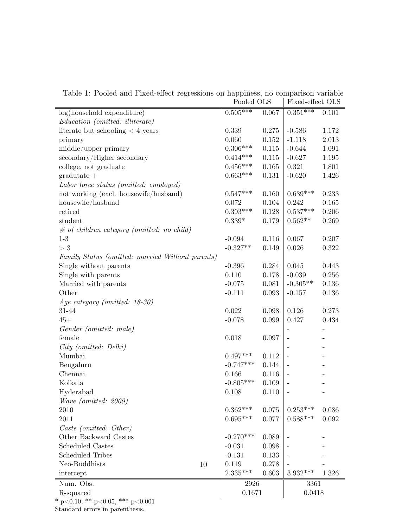|                                                  | Pooled OLS  |       | Fixed-effect OLS         |       |
|--------------------------------------------------|-------------|-------|--------------------------|-------|
| log(household expenditure)                       | $0.505***$  | 0.067 | $0.351***$               | 0.101 |
| Education (omitted: illiterate)                  |             |       |                          |       |
| literate but schooling $<$ 4 years               | 0.339       | 0.275 | $-0.586$                 | 1.172 |
| primary                                          | 0.060       | 0.152 | $-1.118$                 | 2.013 |
| middle/upper primary                             | $0.306***$  | 0.115 | $-0.644$                 | 1.091 |
| secondary/Higher secondary                       | $0.414***$  | 0.115 | $-0.627$                 | 1.195 |
| college, not graduate                            | $0.456***$  | 0.165 | 0.321                    | 1.801 |
| $gradiente +$                                    | $0.663***$  | 0.131 | $-0.620$                 | 1.426 |
| Labor force status (omitted: employed)           |             |       |                          |       |
| not working (excl. housewife/husband)            | $0.547***$  | 0.160 | $0.639***$               | 0.233 |
| $\operatorname{housewife/hushand}$               | 0.072       | 0.104 | 0.242                    | 0.165 |
| retired                                          | $0.393***$  | 0.128 | $0.537***$               | 0.206 |
| student                                          | $0.339*$    | 0.179 | $0.562**$                | 0.269 |
| $\#$ of children category (omitted: no child)    |             |       |                          |       |
| $1-3$                                            | $-0.094$    | 0.116 | 0.067                    | 0.207 |
| >3                                               | $-0.327**$  | 0.149 | 0.026                    | 0.322 |
| Family Status (omitted: married Without parents) |             |       |                          |       |
| Single without parents                           | $-0.396$    | 0.284 | 0.045                    | 0.443 |
| Single with parents                              | 0.110       | 0.178 | $-0.039$                 | 0.256 |
| Married with parents                             | $-0.075$    | 0.081 | $-0.305**$               | 0.136 |
| Other                                            | $-0.111$    | 0.093 | $-0.157$                 | 0.136 |
| Age category (omitted: 18-30)                    |             |       |                          |       |
| 31-44                                            | 0.022       | 0.098 | 0.126                    | 0.273 |
| $45+$                                            | $-0.078$    | 0.099 | 0.427                    | 0.434 |
| Gender (omitted: male)                           |             |       |                          |       |
| female                                           | 0.018       | 0.097 |                          |       |
| $City$ (omitted: Delhi)                          |             |       |                          |       |
| Mumbai                                           | $0.497***$  | 0.112 |                          |       |
| Bengaluru                                        | $-0.747***$ | 0.144 |                          |       |
| Chennai                                          | 0.166       | 0.116 |                          |       |
| Kolkata                                          | $-0.805***$ | 0.109 |                          |       |
| Hyderabad                                        | 0.108       | 0.110 | $\overline{\phantom{m}}$ |       |
| Wave (omitted: 2009)                             |             |       |                          |       |
| 2010                                             | $0.362***$  | 0.075 | $0.253***$               | 0.086 |
| 2011                                             | $0.695***$  | 0.077 | $0.588***$               | 0.092 |
| Caste (omitted: Other)                           |             |       |                          |       |
| Other Backward Castes                            | $-0.270***$ | 0.089 |                          |       |
| <b>Scheduled Castes</b>                          | $-0.031$    | 0.098 |                          |       |
| <b>Scheduled Tribes</b>                          | $-0.131$    | 0.133 |                          |       |
| Neo-Buddhists<br>10                              | 0.119       | 0.278 |                          |       |
| intercept                                        | $2.335***$  | 0.603 | $3.932***$               | 1.326 |
| Num. Obs.                                        | 2926        |       | 3361                     |       |
| R-squared                                        | 0.1671      |       | 0.0418                   |       |
| * p<0.10, ** p<0.05, *** p<0.001                 |             |       |                          |       |

Table 1: Pooled and Fixed-effect regressions on happiness, no comparison variable

Standard errors in parenthesis.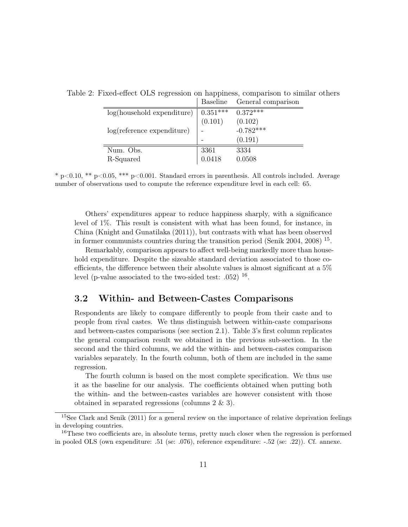|                                      | разешие    | General comparison |
|--------------------------------------|------------|--------------------|
| $log(household$ expenditure)         | $0.351***$ | $0.372*+$          |
|                                      | (0.101)    | (0.102)            |
| $log(reference \text{ expenditure})$ |            | $-0.782***$        |
|                                      |            | (0.191)            |
| Num. Obs.                            | 3361       | 3334               |
| R-Squared                            | 0.0418     | 0.0508             |

Table 2: Fixed-effect OLS regression on happiness, comparison to similar others Baseline General comparison

 $*$  p $<0.10$ ,  $**$  p $<0.05$ ,  $***$  p $<0.001$ . Standard errors in parenthesis. All controls included. Average number of observations used to compute the reference expenditure level in each cell: 65.

Others' expenditures appear to reduce happiness sharply, with a significance level of 1%. This result is consistent with what has been found, for instance, in China (Knight and Gunatilaka (2011)), but contrasts with what has been observed in former communists countries during the transition period (Senik 2004, 2008) <sup>15</sup> .

Remarkably, comparison appears to affect well-being markedly more than household expenditure. Despite the sizeable standard deviation associated to those coefficients, the difference between their absolute values is almost significant at a 5% level (p-value associated to the two-sided test: .052)  $^{16}$ .

### 3.2 Within- and Between-Castes Comparisons

Respondents are likely to compare differently to people from their caste and to people from rival castes. We thus distinguish between within-caste comparisons and between-castes comparisons (see section 2.1). Table 3's first column replicates the general comparison result we obtained in the previous sub-section. In the second and the third columns, we add the within- and between-castes comparison variables separately. In the fourth column, both of them are included in the same regression.

The fourth column is based on the most complete specification. We thus use it as the baseline for our analysis. The coefficients obtained when putting both the within- and the between-castes variables are however consistent with those obtained in separated regressions (columns 2 & 3).

<sup>&</sup>lt;sup>15</sup>See Clark and Senik (2011) for a general review on the importance of relative deprivation feelings in developing countries.

<sup>&</sup>lt;sup>16</sup>These two coefficients are, in absolute terms, pretty much closer when the regression is performed in pooled OLS (own expenditure: .51 (se: .076), reference expenditure: -.52 (se: .22)). Cf. annexe.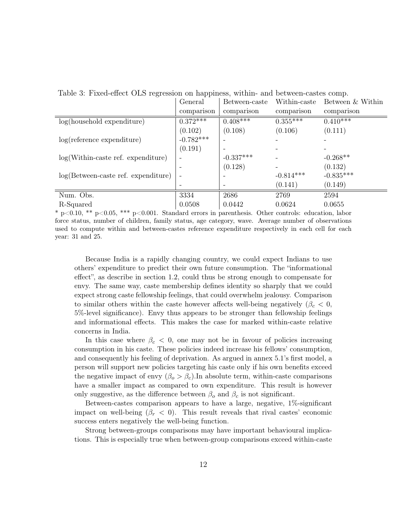| Table 0. TTACG-CHCCC OLD TCGLOSION ON Happiness, within- and between-cases comp. |             |               |              |                       |  |
|----------------------------------------------------------------------------------|-------------|---------------|--------------|-----------------------|--|
|                                                                                  | General     | Between-caste | Within-caste | Between & Within      |  |
|                                                                                  | comparison  | comparison    | comparison   | comparison            |  |
| $log(household$ expenditure)                                                     | $0.372***$  | $0.408***$    | $0.355***$   | $0.4\overline{10***}$ |  |
|                                                                                  | (0.102)     | (0.108)       | (0.106)      | (0.111)               |  |
| $log(reference \text{ expenditure})$                                             | $-0.782***$ |               |              |                       |  |
|                                                                                  | (0.191)     |               |              |                       |  |
| $log(Within\text{-}case\text{ ref.}\text{ expenditure})$                         |             | $-0.337***$   |              | $-0.268**$            |  |
|                                                                                  |             | (0.128)       |              | (0.132)               |  |
| $log(Between-case set.$ expenditure)                                             |             |               | $-0.814***$  | $-0.835***$           |  |
|                                                                                  |             |               | (0.141)      | (0.149)               |  |
| Num. Obs.                                                                        | 3334        | 2686          | 2769         | 2594                  |  |
| R-Squared                                                                        | 0.0508      | 0.0442        | 0.0624       | 0.0655                |  |

Table 3: Fixed-effect OLS regression on happiness, within- and between-castes comp.

 $*$  p $<0.10$ ,  $**$  p $<0.05$ ,  $***$  p $<0.001$ . Standard errors in parenthesis. Other controls: education, labor force status, number of children, family status, age category, wave. Average number of observations used to compute within and between-castes reference expenditure respectively in each cell for each year: 31 and 25.

Because India is a rapidly changing country, we could expect Indians to use others' expenditure to predict their own future consumption. The "informational effect", as describe in section 1.2, could thus be strong enough to compensate for envy. The same way, caste membership defines identity so sharply that we could expect strong caste fellowship feelings, that could overwhelm jealousy. Comparison to similar others within the caste however affects well-being negatively ( $\beta_c < 0$ , 5%-level significance). Envy thus appears to be stronger than fellowship feelings and informational effects. This makes the case for marked within-caste relative concerns in India.

In this case where  $\beta_c < 0$ , one may not be in favour of policies increasing consumption in his caste. These policies indeed increase his fellows' consumption, and consequently his feeling of deprivation. As argued in annex 5.1's first model, a person will support new policies targeting his caste only if his own benefits exceed the negative impact of envy  $(\beta_o > \beta_c)$ . In absolute term, within-caste comparisons have a smaller impact as compared to own expenditure. This result is however only suggestive, as the difference between  $\beta_o$  and  $\beta_c$  is not significant.

Between-castes comparison appears to have a large, negative, 1%-significant impact on well-being  $(\beta_r < 0)$ . This result reveals that rival castes' economic success enters negatively the well-being function.

Strong between-groups comparisons may have important behavioural implications. This is especially true when between-group comparisons exceed within-caste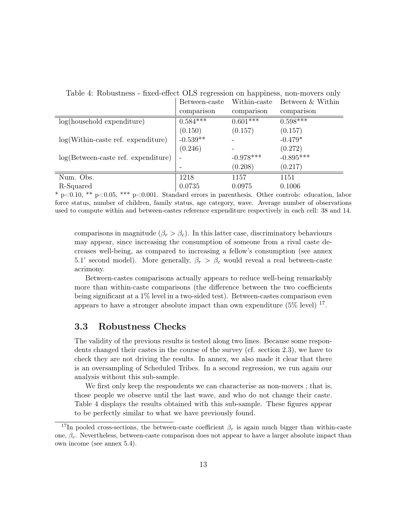|                                                          | Between-caste | Within-caste | Between & Within |
|----------------------------------------------------------|---------------|--------------|------------------|
|                                                          | comparison    | comparison   | comparison       |
| $log(household$ expenditure)                             | $0.584***$    | $0.601***$   | $0.598***$       |
|                                                          | (0.150)       | (0.157)      | (0.157)          |
| $log(Within\text{-}case\text{ ref.}\text{ expenditure})$ | $-0.539**$    |              | $-0.479*$        |
|                                                          | (0.246)       |              | (0.272)          |
| $log(Between-case set.$ expenditure)                     |               | $-0.978***$  | $-0.895***$      |
|                                                          |               | (0.208)      | (0.217)          |
| Num. Obs.                                                | 1218          | 1157         | 1151             |
| R-Squared                                                | 0.0735        | 0.0975       | 0.1006           |

Table 4: Robustness - fixed-effect OLS regression on happiness, non-movers only

\* p<0.10, \*\* p<0.05, \*\*\* p<0.001. Standard errors in parenthesis. Other controls: education, labor force status, number of children, family status, age category, wave. Average number of observations used to compute within and between-castes reference expenditure respectively in each cell: 38 and 14.

comparisons in magnitude ( $\beta_r > \beta_c$ ). In this latter case, discriminatory behaviours may appear, since increasing the consumption of someone from a rival caste decreases well-being, as compared to increasing a fellow's consumption (see annex 5.1' second model). More generally,  $\beta_r > \beta_c$  would reveal a real between-caste acrimony.

Between-castes comparisons actually appears to reduce well-being remarkably more than within-caste comparisons (the difference between the two coefficients being significant at a 1% level in a two-sided test). Between-castes comparison even appears to have a stronger absolute impact than own expenditure  $(5\% \text{ level})$  <sup>17</sup>.

### 3.3 Robustness Checks

The validity of the previous results is tested along two lines. Because some respondents changed their castes in the course of the survey (cf. section 2.3), we have to check they are not driving the results. In annex, we also made it clear that there is an oversampling of Scheduled Tribes. In a second regression, we run again our analysis without this sub-sample.

We first only keep the respondents we can characterise as non-movers; that is, those people we observe until the last wave, and who do not change their caste. Table 4 displays the results obtained with this sub-sample. These figures appear to be perfectly similar to what we have previously found.

<sup>&</sup>lt;sup>17</sup>In pooled cross-sections, the between-caste coefficient  $\beta_r$  is again much bigger than within-caste one,  $\beta_c$ . Nevertheless, between-caste comparison does not appear to have a larger absolute impact than own income (see annex 5.4).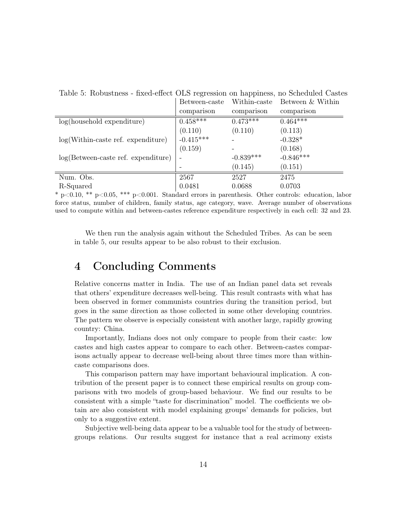| rapic 9. robubanche<br>- mod chool Olio regression on happiness, ho senegated castes |               |              |                  |  |  |
|--------------------------------------------------------------------------------------|---------------|--------------|------------------|--|--|
|                                                                                      | Between-caste | Within-caste | Between & Within |  |  |
|                                                                                      | comparison    | comparison   | comparison       |  |  |
| $log(household$ expenditure)                                                         | $0.458***$    | $0.473***$   | $0.464***$       |  |  |
|                                                                                      | (0.110)       | (0.110)      | (0.113)          |  |  |
| $log(Within\text{-}case\text{ ref.}\text{ expenditure})$                             | $-0.415***$   |              | $-0.328*$        |  |  |
|                                                                                      | (0.159)       |              | (0.168)          |  |  |
| $log(Between-case set.$ expenditure)                                                 |               | $-0.839***$  | $-0.846***$      |  |  |
|                                                                                      |               | (0.145)      | (0.151)          |  |  |
| Num. Obs.                                                                            | 2567          | 2527         | 2475             |  |  |
| R-Squared                                                                            | 0.0481        | 0.0688       | 0.0703           |  |  |

Table 5: Robustness - fixed-effect OLS regression on happiness, no Scheduled Castes

\* p<0.10, \*\* p<0.05, \*\*\* p<0.001. Standard errors in parenthesis. Other controls: education, labor force status, number of children, family status, age category, wave. Average number of observations used to compute within and between-castes reference expenditure respectively in each cell: 32 and 23.

We then run the analysis again without the Scheduled Tribes. As can be seen in table 5, our results appear to be also robust to their exclusion.

## 4 Concluding Comments

Relative concerns matter in India. The use of an Indian panel data set reveals that others' expenditure decreases well-being. This result contrasts with what has been observed in former communists countries during the transition period, but goes in the same direction as those collected in some other developing countries. The pattern we observe is especially consistent with another large, rapidly growing country: China.

Importantly, Indians does not only compare to people from their caste: low castes and high castes appear to compare to each other. Between-castes comparisons actually appear to decrease well-being about three times more than withincaste comparisons does.

This comparison pattern may have important behavioural implication. A contribution of the present paper is to connect these empirical results on group comparisons with two models of group-based behaviour. We find our results to be consistent with a simple "taste for discrimination" model. The coefficients we obtain are also consistent with model explaining groups' demands for policies, but only to a suggestive extent.

Subjective well-being data appear to be a valuable tool for the study of betweengroups relations. Our results suggest for instance that a real acrimony exists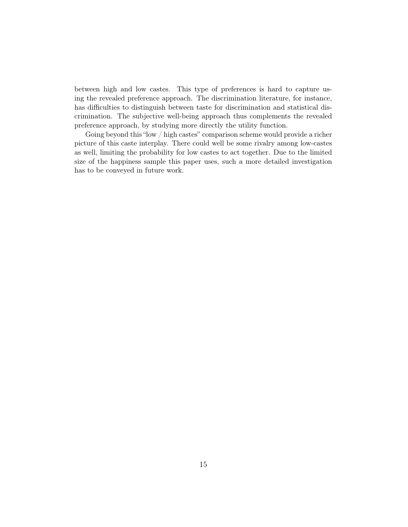between high and low castes. This type of preferences is hard to capture using the revealed preference approach. The discrimination literature, for instance, has difficulties to distinguish between taste for discrimination and statistical discrimination. The subjective well-being approach thus complements the revealed preference approach, by studying more directly the utility function.

Going beyond this "low / high castes" comparison scheme would provide a richer picture of this caste interplay. There could well be some rivalry among low-castes as well, limiting the probability for low castes to act together. Due to the limited size of the happiness sample this paper uses, such a more detailed investigation has to be conveyed in future work.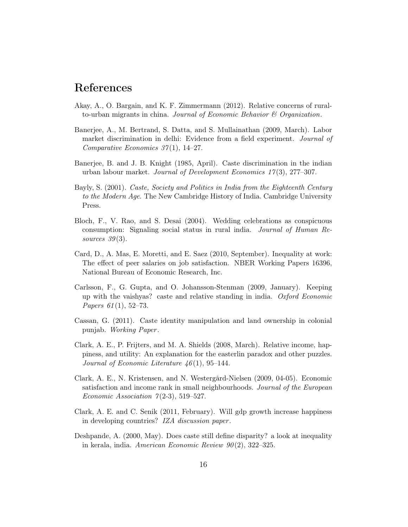## References

- Akay, A., O. Bargain, and K. F. Zimmermann (2012). Relative concerns of ruralto-urban migrants in china. Journal of Economic Behavior  $\mathcal C$  Organization.
- Banerjee, A., M. Bertrand, S. Datta, and S. Mullainathan (2009, March). Labor market discrimination in delhi: Evidence from a field experiment. Journal of Comparative Economics  $37(1)$ , 14–27.
- Banerjee, B. and J. B. Knight (1985, April). Caste discrimination in the indian urban labour market. Journal of Development Economics 17 (3), 277–307.
- Bayly, S. (2001). Caste, Society and Politics in India from the Eighteenth Century to the Modern Age. The New Cambridge History of India. Cambridge University Press.
- Bloch, F., V. Rao, and S. Desai (2004). Wedding celebrations as conspicuous consumption: Signaling social status in rural india. Journal of Human Resources  $39(3)$ .
- Card, D., A. Mas, E. Moretti, and E. Saez (2010, September). Inequality at work: The effect of peer salaries on job satisfaction. NBER Working Papers 16396, National Bureau of Economic Research, Inc.
- Carlsson, F., G. Gupta, and O. Johansson-Stenman (2009, January). Keeping up with the vaishyas? caste and relative standing in india. Oxford Economic *Papers 61*(1), 52–73.
- Cassan, G. (2011). Caste identity manipulation and land ownership in colonial punjab. Working Paper .
- Clark, A. E., P. Frijters, and M. A. Shields (2008, March). Relative income, happiness, and utility: An explanation for the easterlin paradox and other puzzles. Journal of Economic Literature  $46(1)$ , 95-144.
- Clark, A. E., N. Kristensen, and N. Westergård-Nielsen (2009, 04-05). Economic satisfaction and income rank in small neighbourhoods. Journal of the European Economic Association  $7(2-3)$ , 519-527.
- Clark, A. E. and C. Senik (2011, February). Will gdp growth increase happiness in developing countries? IZA discussion paper .
- Deshpande, A. (2000, May). Does caste still define disparity? a look at inequality in kerala, india. American Economic Review  $90(2)$ , 322–325.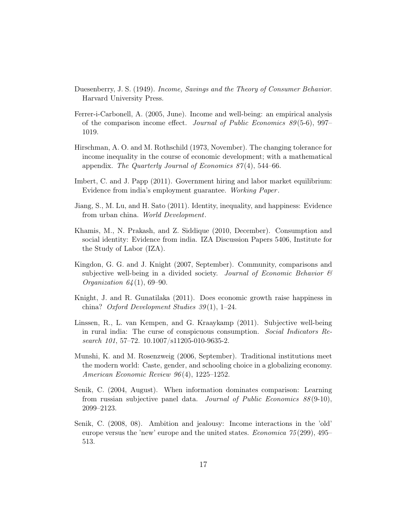- Duesenberry, J. S. (1949). Income, Savings and the Theory of Consumer Behavior. Harvard University Press.
- Ferrer-i-Carbonell, A. (2005, June). Income and well-being: an empirical analysis of the comparison income effect. Journal of Public Economics  $89(5-6)$ , 997– 1019.
- Hirschman, A. O. and M. Rothschild (1973, November). The changing tolerance for income inequality in the course of economic development; with a mathematical appendix. The Quarterly Journal of Economics  $87(4)$ , 544–66.
- Imbert, C. and J. Papp (2011). Government hiring and labor market equilibrium: Evidence from india's employment guarantee. Working Paper .
- Jiang, S., M. Lu, and H. Sato (2011). Identity, inequality, and happiness: Evidence from urban china. World Development.
- Khamis, M., N. Prakash, and Z. Siddique (2010, December). Consumption and social identity: Evidence from india. IZA Discussion Papers 5406, Institute for the Study of Labor (IZA).
- Kingdon, G. G. and J. Knight (2007, September). Community, comparisons and subjective well-being in a divided society. Journal of Economic Behavior  $\mathcal B$ *Organization*  $64(1)$ *, 69-90.*
- Knight, J. and R. Gunatilaka (2011). Does economic growth raise happiness in china? Oxford Development Studies 39 (1), 1–24.
- Linssen, R., L. van Kempen, and G. Kraaykamp (2011). Subjective well-being in rural india: The curse of conspicuous consumption. Social Indicators Research 101, 57–72. 10.1007/s11205-010-9635-2.
- Munshi, K. and M. Rosenzweig (2006, September). Traditional institutions meet the modern world: Caste, gender, and schooling choice in a globalizing economy. American Economic Review 96 (4), 1225–1252.
- Senik, C. (2004, August). When information dominates comparison: Learning from russian subjective panel data. Journal of Public Economics 88 (9-10), 2099–2123.
- Senik, C. (2008, 08). Ambition and jealousy: Income interactions in the 'old' europe versus the 'new' europe and the united states. Economica 75 (299), 495– 513.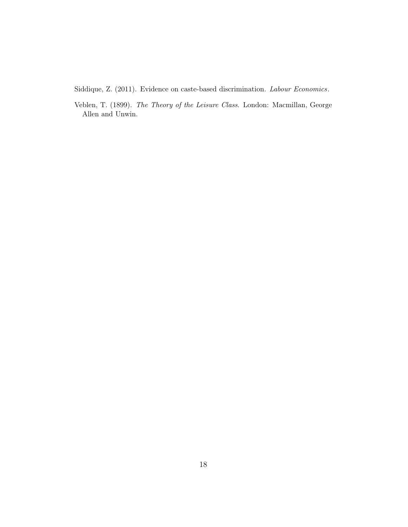Siddique, Z. (2011). Evidence on caste-based discrimination. Labour Economics.

Veblen, T. (1899). The Theory of the Leisure Class. London: Macmillan, George Allen and Unwin.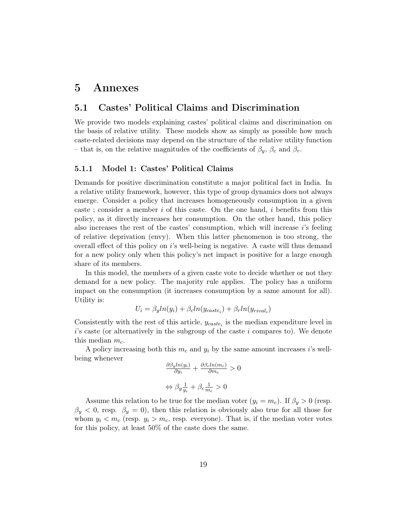## 5 Annexes

### 5.1 Castes' Political Claims and Discrimination

We provide two models explaining castes' political claims and discrimination on the basis of relative utility. These models show as simply as possible how much caste-related decisions may depend on the structure of the relative utility function – that is, on the relative magnitudes of the coefficients of  $\beta_y$ ,  $\beta_c$  and  $\beta_r$ .

#### 5.1.1 Model 1: Castes' Political Claims

Demands for positive discrimination constitute a major political fact in India. In a relative utility framework, however, this type of group dynamics does not always emerge. Consider a policy that increases homogeneously consumption in a given caste; consider a member i of this caste. On the one hand, i benefits from this policy, as it directly increases her consumption. On the other hand, this policy also increases the rest of the castes' consumption, which will increase  $i$ 's feeling of relative deprivation (envy). When this latter phenomenon is too strong, the overall effect of this policy on i's well-being is negative. A caste will thus demand for a new policy only when this policy's net impact is positive for a large enough share of its members.

In this model, the members of a given caste vote to decide whether or not they demand for a new policy. The majority rule applies. The policy has a uniform impact on the consumption (it increases consumption by a same amount for all). Utility is:

$$
U_i = \beta_y ln(y_i) + \beta_c ln(y_{\text{case}_i}) + \beta_r ln(y_{\text{rival}_i})
$$

Consistently with the rest of this article,  $y_{\text{case}_i}$  is the median expenditure level in  $i$ 's caste (or alternatively in the subgroup of the caste i compares to). We denote this median  $m_c$ .

A policy increasing both this  $m_c$  and  $y_i$  by the same amount increases i's wellbeing whenever

$$
\frac{\partial \beta_y ln(y_i)}{\partial y_i} + \frac{\partial \beta_c ln(m_c)}{\partial m_c} > 0
$$

$$
\Leftrightarrow \beta_y \frac{1}{y_i} + \beta_c \frac{1}{m_c} > 0
$$

Assume this relation to be true for the median voter  $(y_i = m_c)$ . If  $\beta_y > 0$  (resp.  $\beta_y < 0$ , resp.  $\beta_y = 0$ , then this relation is obviously also true for all those for whom  $y_i < m_c$  (resp.  $y_i > m_c$ , resp. everyone). That is, if the median voter votes for this policy, at least 50% of the caste does the same.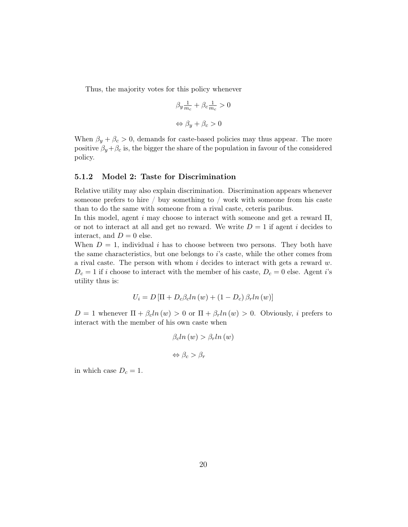Thus, the majority votes for this policy whenever

$$
\beta_y \frac{1}{m_c} + \beta_c \frac{1}{m_c} > 0
$$
  

$$
\Leftrightarrow \beta_y + \beta_c > 0
$$

When  $\beta_y + \beta_c > 0$ , demands for caste-based policies may thus appear. The more positive  $\beta_y + \beta_c$  is, the bigger the share of the population in favour of the considered policy.

#### 5.1.2 Model 2: Taste for Discrimination

Relative utility may also explain discrimination. Discrimination appears whenever someone prefers to hire / buy something to / work with someone from his caste than to do the same with someone from a rival caste, ceteris paribus.

In this model, agent i may choose to interact with someone and get a reward  $\Pi$ , or not to interact at all and get no reward. We write  $D = 1$  if agent i decides to interact, and  $D = 0$  else.

When  $D = 1$ , individual i has to choose between two persons. They both have the same characteristics, but one belongs to i's caste, while the other comes from a rival caste. The person with whom  $i$  decides to interact with gets a reward  $w$ .  $D_c = 1$  if i choose to interact with the member of his caste,  $D_c = 0$  else. Agent i's utility thus is:

$$
U_i = D\left[\Pi + D_c\beta_c \ln(w) + (1 - D_c)\beta_r \ln(w)\right]
$$

 $D = 1$  whenever  $\Pi + \beta_c ln(w) > 0$  or  $\Pi + \beta_r ln(w) > 0$ . Obviously, i prefers to interact with the member of his own caste when

$$
\beta_c \ln(w) > \beta_r \ln(w)
$$
\n
$$
\Leftrightarrow \beta_c > \beta_r
$$

in which case  $D_c = 1$ .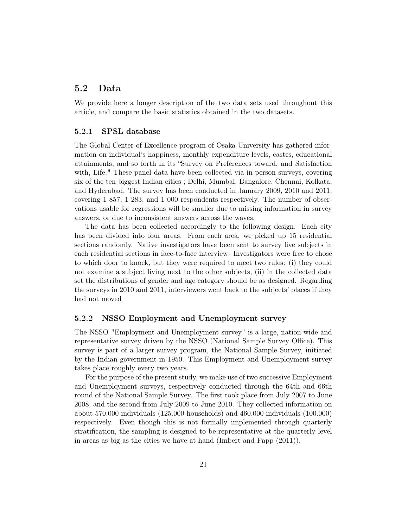### 5.2 Data

We provide here a longer description of the two data sets used throughout this article, and compare the basic statistics obtained in the two datasets.

#### 5.2.1 SPSL database

The Global Center of Excellence program of Osaka University has gathered information on individual's happiness, monthly expenditure levels, castes, educational attainments, and so forth in its "Survey on Preferences toward, and Satisfaction with, Life." These panel data have been collected via in-person surveys, covering six of the ten biggest Indian cities ; Delhi, Mumbai, Bangalore, Chennai, Kolkata, and Hyderabad. The survey has been conducted in January 2009, 2010 and 2011, covering 1 857, 1 283, and 1 000 respondents respectively. The number of observations usable for regressions will be smaller due to missing information in survey answers, or due to inconsistent answers across the waves.

The data has been collected accordingly to the following design. Each city has been divided into four areas. From each area, we picked up 15 residential sections randomly. Native investigators have been sent to survey five subjects in each residential sections in face-to-face interview. Investigators were free to chose to which door to knock, but they were required to meet two rules: (i) they could not examine a subject living next to the other subjects, (ii) in the collected data set the distributions of gender and age category should be as designed. Regarding the surveys in 2010 and 2011, interviewers went back to the subjects' places if they had not moved

#### 5.2.2 NSSO Employment and Unemployment survey

The NSSO "Employment and Unemployment survey" is a large, nation-wide and representative survey driven by the NSSO (National Sample Survey Office). This survey is part of a larger survey program, the National Sample Survey, initiated by the Indian government in 1950. This Employment and Unemployment survey takes place roughly every two years.

For the purpose of the present study, we make use of two successive Employment and Unemployment surveys, respectively conducted through the 64th and 66th round of the National Sample Survey. The first took place from July 2007 to June 2008, and the second from July 2009 to June 2010. They collected information on about 570.000 individuals (125.000 households) and 460.000 individuals (100.000) respectively. Even though this is not formally implemented through quarterly stratification, the sampling is designed to be representative at the quarterly level in areas as big as the cities we have at hand (Imbert and Papp (2011)).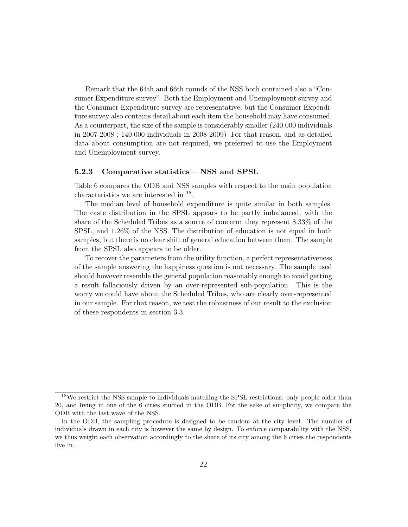Remark that the 64th and 66th rounds of the NSS both contained also a "Consumer Expenditure survey". Both the Employment and Unemployment survey and the Consumer Expenditure survey are representative, but the Consumer Expenditure survey also contains detail about each item the household may have consumed. As a counterpart, the size of the sample is considerably smaller (240.000 individuals in 2007-2008 ; 140.000 individuals in 2008-2009) .For that reason, and as detailed data about consumption are not required, we preferred to use the Employment and Unemployment survey.

#### 5.2.3 Comparative statistics – NSS and SPSL

Table 6 compares the ODB and NSS samples with respect to the main population characteristics we are interested in <sup>18</sup>.

The median level of household expenditure is quite similar in both samples. The caste distribution in the SPSL appears to be partly imbalanced, with the share of the Scheduled Tribes as a source of concern: they represent 8.33% of the SPSL, and 1.26% of the NSS. The distribution of education is not equal in both samples, but there is no clear shift of general education between them. The sample from the SPSL also appears to be older.

To recover the parameters from the utility function, a perfect representativeness of the sample answering the happiness question is not necessary. The sample used should however resemble the general population reasonably enough to avoid getting a result fallaciously driven by an over-represented sub-population. This is the worry we could have about the Scheduled Tribes, who are clearly over-represented in our sample. For that reason, we test the robustness of our result to the exclusion of these respondents in section 3.3.

<sup>&</sup>lt;sup>18</sup>We restrict the NSS sample to individuals matching the SPSL restrictions: only people older than 20, and living in one of the 6 cities studied in the ODB. For the sake of simplicity, we compare the ODB with the last wave of the NSS.

In the ODB, the sampling procedure is designed to be random at the city level. The number of individuals drawn in each city is however the same by design. To enforce comparability with the NSS, we thus weight each observation accordingly to the share of its city among the 6 cities the respondents live in.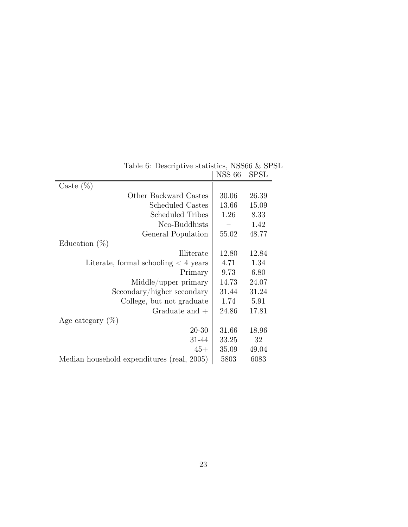|                                            | <b>NSS 66</b> | <b>SPSL</b> |
|--------------------------------------------|---------------|-------------|
| Caste $(\%)$                               |               |             |
| Other Backward Castes                      | 30.06         | 26.39       |
| Scheduled Castes                           | 13.66         | 15.09       |
| Scheduled Tribes                           | 1.26          | 8.33        |
| Neo-Buddhists                              |               | 1.42        |
| General Population                         | 55.02         | 48.77       |
| Education $(\%)$                           |               |             |
| Illiterate                                 | 12.80         | 12.84       |
| Literate, formal schooling $\lt 4$ years   | 4.71          | 1.34        |
| Primary                                    | 9.73          | 6.80        |
| Middle/upper primary                       | 14.73         | 24.07       |
| Secondary/higher secondary                 | 31.44         | 31.24       |
| College, but not graduate                  | 1.74          | 5.91        |
| Graduate and $+$                           | 24.86         | 17.81       |
| Age category $(\%)$                        |               |             |
| $20 - 30$                                  | 31.66         | 18.96       |
| 31-44                                      | 33.25         | 32          |
| $45+$                                      | 35.09         | 49.04       |
| Median household expenditures (real, 2005) | 5803          | 6083        |

Table 6: Descriptive statistics, NSS66 & SPSL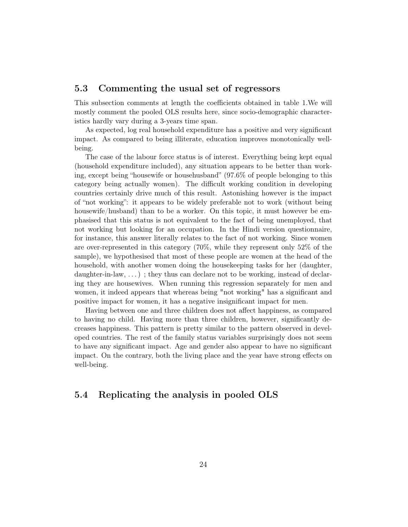### 5.3 Commenting the usual set of regressors

This subsection comments at length the coefficients obtained in table 1.We will mostly comment the pooled OLS results here, since socio-demographic characteristics hardly vary during a 3-years time span.

As expected, log real household expenditure has a positive and very significant impact. As compared to being illiterate, education improves monotonically wellbeing.

The case of the labour force status is of interest. Everything being kept equal (household expenditure included), any situation appears to be better than working, except being "housewife or househusband" (97.6% of people belonging to this category being actually women). The difficult working condition in developing countries certainly drive much of this result. Astonishing however is the impact of "not working": it appears to be widely preferable not to work (without being housewife/husband) than to be a worker. On this topic, it must however be emphasised that this status is not equivalent to the fact of being unemployed, that not working but looking for an occupation. In the Hindi version questionnaire, for instance, this answer literally relates to the fact of not working. Since women are over-represented in this category (70%, while they represent only 52% of the sample), we hypothesised that most of these people are women at the head of the household, with another women doing the housekeeping tasks for her (daughter, daughter-in-law, ...); they thus can declare not to be working, instead of declaring they are housewives. When running this regression separately for men and women, it indeed appears that whereas being "not working" has a significant and positive impact for women, it has a negative insignificant impact for men.

Having between one and three children does not affect happiness, as compared to having no child. Having more than three children, however, significantly decreases happiness. This pattern is pretty similar to the pattern observed in developed countries. The rest of the family status variables surprisingly does not seem to have any significant impact. Age and gender also appear to have no significant impact. On the contrary, both the living place and the year have strong effects on well-being.

### 5.4 Replicating the analysis in pooled OLS